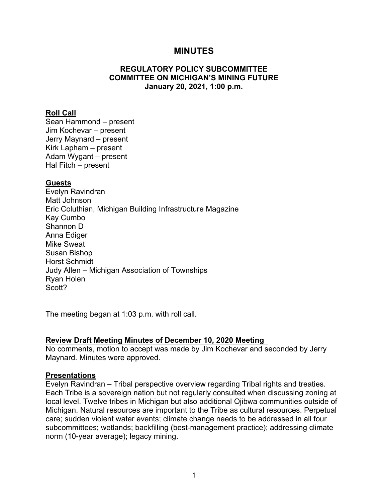## **MINUTES**

## **REGULATORY POLICY SUBCOMMITTEE COMMITTEE ON MICHIGAN'S MINING FUTURE January 20, 2021, 1:00 p.m.**

#### **Roll Call**

Sean Hammond – present Jim Kochevar – present Jerry Maynard – present Kirk Lapham – present Adam Wygant – present Hal Fitch – present

#### **Guests**

Evelyn Ravindran Matt Johnson Eric Coluthian, Michigan Building Infrastructure Magazine Kay Cumbo Shannon D Anna Ediger Mike Sweat Susan Bishop Horst Schmidt Judy Allen – Michigan Association of Townships Ryan Holen Scott?

The meeting began at 1:03 p.m. with roll call.

## **Review Draft Meeting Minutes of December 10, 2020 Meeting**

No comments, motion to accept was made by Jim Kochevar and seconded by Jerry Maynard. Minutes were approved.

#### **Presentations**

Evelyn Ravindran – Tribal perspective overview regarding Tribal rights and treaties. Each Tribe is a sovereign nation but not regularly consulted when discussing zoning at local level. Twelve tribes in Michigan but also additional Ojibwa communities outside of Michigan. Natural resources are important to the Tribe as cultural resources. Perpetual care; sudden violent water events; climate change needs to be addressed in all four subcommittees; wetlands; backfilling (best-management practice); addressing climate norm (10-year average); legacy mining.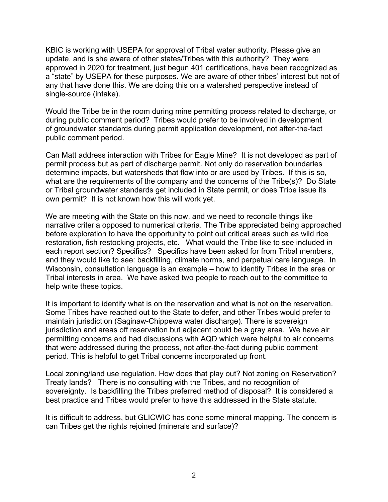KBIC is working with USEPA for approval of Tribal water authority. Please give an update, and is she aware of other states/Tribes with this authority? They were approved in 2020 for treatment, just begun 401 certifications, have been recognized as a "state" by USEPA for these purposes. We are aware of other tribes' interest but not of any that have done this. We are doing this on a watershed perspective instead of single-source (intake).

Would the Tribe be in the room during mine permitting process related to discharge, or during public comment period? Tribes would prefer to be involved in development of groundwater standards during permit application development, not after-the-fact public comment period.

Can Matt address interaction with Tribes for Eagle Mine? It is not developed as part of permit process but as part of discharge permit. Not only do reservation boundaries determine impacts, but watersheds that flow into or are used by Tribes. If this is so, what are the requirements of the company and the concerns of the Tribe(s)? Do State or Tribal groundwater standards get included in State permit, or does Tribe issue its own permit? It is not known how this will work yet.

We are meeting with the State on this now, and we need to reconcile things like narrative criteria opposed to numerical criteria. The Tribe appreciated being approached before exploration to have the opportunity to point out critical areas such as wild rice restoration, fish restocking projects, etc. What would the Tribe like to see included in each report section? Specifics? Specifics have been asked for from Tribal members, and they would like to see: backfilling, climate norms, and perpetual care language. In Wisconsin, consultation language is an example – how to identify Tribes in the area or Tribal interests in area. We have asked two people to reach out to the committee to help write these topics.

It is important to identify what is on the reservation and what is not on the reservation. Some Tribes have reached out to the State to defer, and other Tribes would prefer to maintain jurisdiction (Saginaw-Chippewa water discharge). There is sovereign jurisdiction and areas off reservation but adjacent could be a gray area. We have air permitting concerns and had discussions with AQD which were helpful to air concerns that were addressed during the process, not after-the-fact during public comment period. This is helpful to get Tribal concerns incorporated up front.

Local zoning/land use regulation. How does that play out? Not zoning on Reservation? Treaty lands? There is no consulting with the Tribes, and no recognition of sovereignty. Is backfilling the Tribes preferred method of disposal? It is considered a best practice and Tribes would prefer to have this addressed in the State statute.

It is difficult to address, but GLICWIC has done some mineral mapping. The concern is can Tribes get the rights rejoined (minerals and surface)?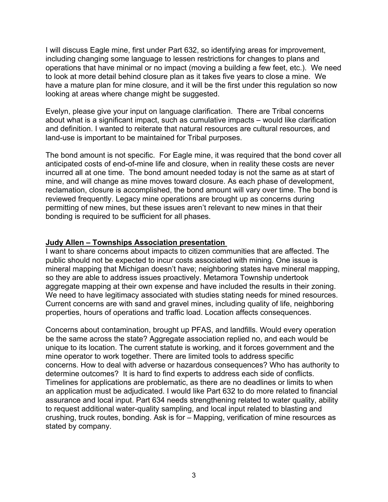I will discuss Eagle mine, first under Part 632, so identifying areas for improvement, including changing some language to lessen restrictions for changes to plans and operations that have minimal or no impact (moving a building a few feet, etc.). We need to look at more detail behind closure plan as it takes five years to close a mine. We have a mature plan for mine closure, and it will be the first under this regulation so now looking at areas where change might be suggested.

Evelyn, please give your input on language clarification. There are Tribal concerns about what is a significant impact, such as cumulative impacts – would like clarification and definition. I wanted to reiterate that natural resources are cultural resources, and land-use is important to be maintained for Tribal purposes.

The bond amount is not specific. For Eagle mine, it was required that the bond cover all anticipated costs of end-of-mine life and closure, when in reality these costs are never incurred all at one time. The bond amount needed today is not the same as at start of mine, and will change as mine moves toward closure. As each phase of development, reclamation, closure is accomplished, the bond amount will vary over time. The bond is reviewed frequently. Legacy mine operations are brought up as concerns during permitting of new mines, but these issues aren't relevant to new mines in that their bonding is required to be sufficient for all phases.

## **Judy Allen – Townships Association presentation**

I want to share concerns about impacts to citizen communities that are affected. The public should not be expected to incur costs associated with mining. One issue is mineral mapping that Michigan doesn't have; neighboring states have mineral mapping, so they are able to address issues proactively. Metamora Township undertook aggregate mapping at their own expense and have included the results in their zoning. We need to have legitimacy associated with studies stating needs for mined resources. Current concerns are with sand and gravel mines, including quality of life, neighboring properties, hours of operations and traffic load. Location affects consequences.

Concerns about contamination, brought up PFAS, and landfills. Would every operation be the same across the state? Aggregate association replied no, and each would be unique to its location. The current statute is working, and it forces government and the mine operator to work together. There are limited tools to address specific concerns. How to deal with adverse or hazardous consequences? Who has authority to determine outcomes? It is hard to find experts to address each side of conflicts. Timelines for applications are problematic, as there are no deadlines or limits to when an application must be adjudicated. I would like Part 632 to do more related to financial assurance and local input. Part 634 needs strengthening related to water quality, ability to request additional water-quality sampling, and local input related to blasting and crushing, truck routes, bonding. Ask is for – Mapping, verification of mine resources as stated by company.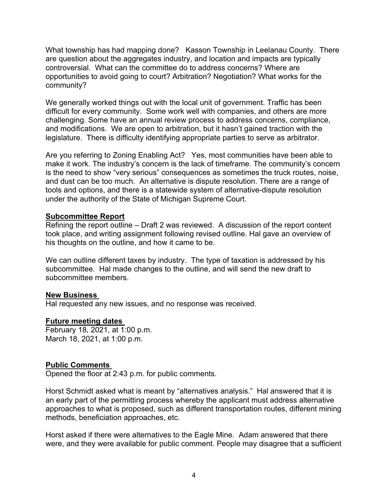What township has had mapping done? Kasson Township in Leelanau County. There are question about the aggregates industry, and location and impacts are typically controversial. What can the committee do to address concerns? Where are opportunities to avoid going to court? Arbitration? Negotiation? What works for the community?

We generally worked things out with the local unit of government. Traffic has been difficult for every community. Some work well with companies, and others are more challenging. Some have an annual review process to address concerns, compliance, and modifications. We are open to arbitration, but it hasn't gained traction with the legislature. There is difficulty identifying appropriate parties to serve as arbitrator.

Are you referring to Zoning Enabling Act? Yes, most communities have been able to make it work. The industry's concern is the lack of timeframe. The community's concern is the need to show "very serious" consequences as sometimes the truck routes, noise, and dust can be too much. An alternative is dispute resolution. There are a range of tools and options, and there is a statewide system of alternative-dispute resolution under the authority of the State of Michigan Supreme Court.

## **Subcommittee Report**

Refining the report outline – Draft 2 was reviewed. A discussion of the report content took place, and writing assignment following revised outline. Hal gave an overview of his thoughts on the outline, and how it came to be.

We can outline different taxes by industry. The type of taxation is addressed by his subcommittee. Hal made changes to the outline, and will send the new draft to subcommittee members.

#### **New Business**

Hal requested any new issues, and no response was received.

## **Future meeting dates**

February 18, 2021, at 1:00 p.m. March 18, 2021, at 1:00 p.m.

## **Public Comments**

Opened the floor at 2:43 p.m. for public comments.

Horst Schmidt asked what is meant by "alternatives analysis." Hal answered that it is an early part of the permitting process whereby the applicant must address alternative approaches to what is proposed, such as different transportation routes, different mining methods, beneficiation approaches, etc.

Horst asked if there were alternatives to the Eagle Mine. Adam answered that there were, and they were available for public comment. People may disagree that a sufficient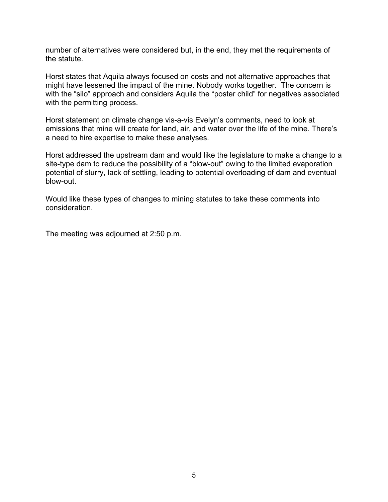number of alternatives were considered but, in the end, they met the requirements of the statute.

Horst states that Aquila always focused on costs and not alternative approaches that might have lessened the impact of the mine. Nobody works together. The concern is with the "silo" approach and considers Aquila the "poster child" for negatives associated with the permitting process.

Horst statement on climate change vis-a-vis Evelyn's comments, need to look at emissions that mine will create for land, air, and water over the life of the mine. There's a need to hire expertise to make these analyses.

Horst addressed the upstream dam and would like the legislature to make a change to a site-type dam to reduce the possibility of a "blow-out" owing to the limited evaporation potential of slurry, lack of settling, leading to potential overloading of dam and eventual blow-out.

Would like these types of changes to mining statutes to take these comments into consideration.

The meeting was adjourned at 2:50 p.m.